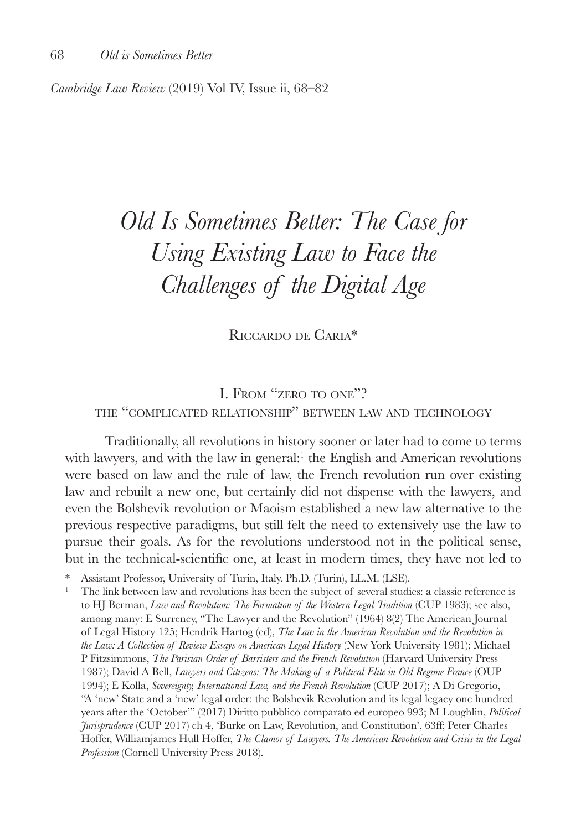*Cambridge Law Review* (2019) Vol IV, Issue ii, 68–82

# *Old Is Sometimes Better: The Case for Using Existing Law to Face the Challenges of the Digital Age*

Riccardo de Caria\*

# I. From "zero to one"?

the "complicated relationship" between law and technology

Traditionally, all revolutions in history sooner or later had to come to terms with lawyers, and with the law in general:<sup>1</sup> the English and American revolutions were based on law and the rule of law, the French revolution run over existing law and rebuilt a new one, but certainly did not dispense with the lawyers, and even the Bolshevik revolution or Maoism established a new law alternative to the previous respective paradigms, but still felt the need to extensively use the law to pursue their goals. As for the revolutions understood not in the political sense, but in the technical-scientific one, at least in modern times, they have not led to

<sup>1</sup> The link between law and revolutions has been the subject of several studies: a classic reference is to HJ Berman, *Law and Revolution: The Formation of the Western Legal Tradition* (CUP 1983); see also, among many: E Surrency, "The Lawyer and the Revolution" (1964) 8(2) The American Journal of Legal History 125; Hendrik Hartog (ed), *The Law in the American Revolution and the Revolution in the Law: A Collection of Review Essays on American Legal History* (New York University 1981); Michael P Fitzsimmons, *The Parisian Order of Barristers and the French Revolution* (Harvard University Press 1987); David A Bell, *Lawyers and Citizens: The Making of a Political Elite in Old Regime France* (OUP 1994); E Kolla, *Sovereignty, International Law, and the French Revolution* (CUP 2017); A Di Gregorio, "A 'new' State and a 'new' legal order: the Bolshevik Revolution and its legal legacy one hundred years after the 'October'" (2017) Diritto pubblico comparato ed europeo 993; M Loughlin, *Political Jurisprudence* (CUP 2017) ch 4, 'Burke on Law, Revolution, and Constitution', 63ff; Peter Charles Hoffer, Williamjames Hull Hoffer, *The Clamor of Lawyers. The American Revolution and Crisis in the Legal Profession* (Cornell University Press 2018).

<sup>\*</sup> Assistant Professor, University of Turin, Italy. Ph.D. (Turin), LL.M. (LSE).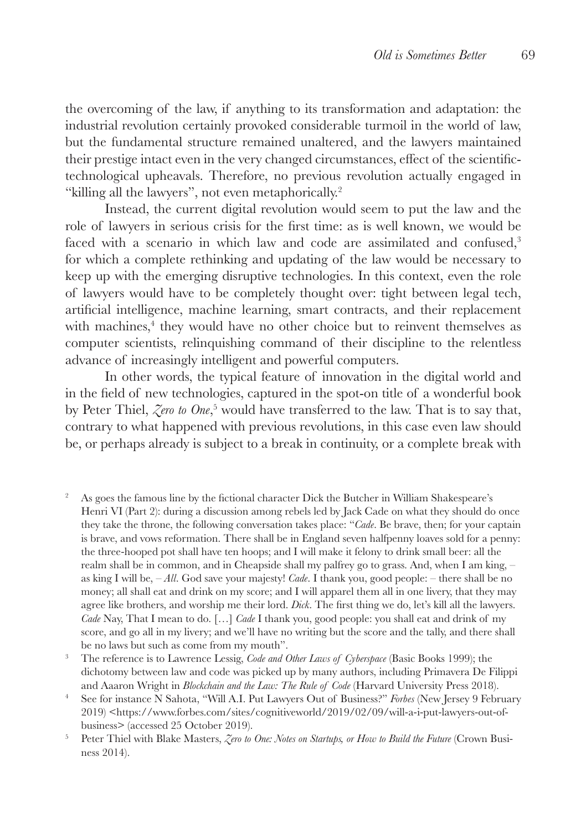the overcoming of the law, if anything to its transformation and adaptation: the industrial revolution certainly provoked considerable turmoil in the world of law, but the fundamental structure remained unaltered, and the lawyers maintained their prestige intact even in the very changed circumstances, effect of the scientifictechnological upheavals. Therefore, no previous revolution actually engaged in "killing all the lawyers", not even metaphorically.<sup>2</sup>

Instead, the current digital revolution would seem to put the law and the role of lawyers in serious crisis for the first time: as is well known, we would be faced with a scenario in which law and code are assimilated and confused.<sup>3</sup> for which a complete rethinking and updating of the law would be necessary to keep up with the emerging disruptive technologies. In this context, even the role of lawyers would have to be completely thought over: tight between legal tech, artificial intelligence, machine learning, smart contracts, and their replacement with machines,<sup>4</sup> they would have no other choice but to reinvent themselves as computer scientists, relinquishing command of their discipline to the relentless advance of increasingly intelligent and powerful computers.

In other words, the typical feature of innovation in the digital world and in the field of new technologies, captured in the spot-on title of a wonderful book by Peter Thiel, *Zero to One*, <sup>5</sup> would have transferred to the law. That is to say that, contrary to what happened with previous revolutions, in this case even law should be, or perhaps already is subject to a break in continuity, or a complete break with

<sup>2</sup> As goes the famous line by the fictional character Dick the Butcher in William Shakespeare's Henri VI (Part 2): during a discussion among rebels led by Jack Cade on what they should do once they take the throne, the following conversation takes place: "*Cade*. Be brave, then; for your captain is brave, and vows reformation. There shall be in England seven halfpenny loaves sold for a penny: the three-hooped pot shall have ten hoops; and I will make it felony to drink small beer: all the realm shall be in common, and in Cheapside shall my palfrey go to grass. And, when I am king, – as king I will be, – *All*. God save your majesty! *Cade*. I thank you, good people: – there shall be no money; all shall eat and drink on my score; and I will apparel them all in one livery, that they may agree like brothers, and worship me their lord. *Dick*. The first thing we do, let's kill all the lawyers. *Cade* Nay, That I mean to do. […] *Cade* I thank you, good people: you shall eat and drink of my score, and go all in my livery; and we'll have no writing but the score and the tally, and there shall be no laws but such as come from my mouth".

<sup>3</sup> The reference is to Lawrence Lessig, *Code and Other Laws of Cyberspace* (Basic Books 1999); the dichotomy between law and code was picked up by many authors, including Primavera De Filippi and Aaaron Wright in *Blockchain and the Law: The Rule of Code* (Harvard University Press 2018).

<sup>4</sup> See for instance N Sahota, "Will A.I. Put Lawyers Out of Business?" *Forbes* (New Jersey 9 February 2019) <https://www.forbes.com/sites/cognitiveworld/2019/02/09/will-a-i-put-lawyers-out-ofbusiness> (accessed 25 October 2019).

<sup>&</sup>lt;sup>5</sup> Peter Thiel with Blake Masters, *Zero to One: Notes on Startups, or How to Build the Future* (Crown Business 2014).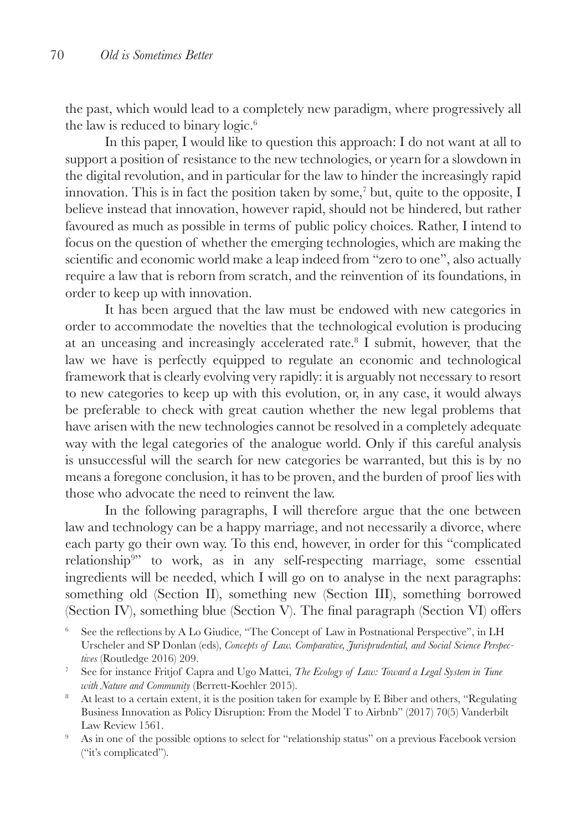the past, which would lead to a completely new paradigm, where progressively all the law is reduced to binary logic.<sup>6</sup>

In this paper, I would like to question this approach: I do not want at all to support a position of resistance to the new technologies, or yearn for a slowdown in the digital revolution, and in particular for the law to hinder the increasingly rapid innovation. This is in fact the position taken by some,<sup>7</sup> but, quite to the opposite,  $I$ believe instead that innovation, however rapid, should not be hindered, but rather favoured as much as possible in terms of public policy choices. Rather, I intend to focus on the question of whether the emerging technologies, which are making the scientific and economic world make a leap indeed from "zero to one", also actually require a law that is reborn from scratch, and the reinvention of its foundations, in order to keep up with innovation.

It has been argued that the law must be endowed with new categories in order to accommodate the novelties that the technological evolution is producing at an unceasing and increasingly accelerated rate.8 I submit, however, that the law we have is perfectly equipped to regulate an economic and technological framework that is clearly evolving very rapidly: it is arguably not necessary to resort to new categories to keep up with this evolution, or, in any case, it would always be preferable to check with great caution whether the new legal problems that have arisen with the new technologies cannot be resolved in a completely adequate way with the legal categories of the analogue world. Only if this careful analysis is unsuccessful will the search for new categories be warranted, but this is by no means a foregone conclusion, it has to be proven, and the burden of proof lies with those who advocate the need to reinvent the law.

In the following paragraphs, I will therefore argue that the one between law and technology can be a happy marriage, and not necessarily a divorce, where each party go their own way. To this end, however, in order for this "complicated relationship<sup>9</sup>" to work, as in any self-respecting marriage, some essential ingredients will be needed, which I will go on to analyse in the next paragraphs: something old (Section II), something new (Section III), something borrowed (Section IV), something blue (Section V). The final paragraph (Section VI) offers

<sup>6</sup> See the reflections by A Lo Giudice, "The Concept of Law in Postnational Perspective", in LH Urscheler and SP Donlan (eds), *Concepts of Law. Comparative, Jurisprudential, and Social Science Perspectives* (Routledge 2016) 209.

<sup>7</sup> See for instance Fritjof Capra and Ugo Mattei, *The Ecology of Law: Toward a Legal System in Tune with Nature and Community* (Berrett-Koehler 2015).

<sup>&</sup>lt;sup>8</sup> At least to a certain extent, it is the position taken for example by E Biber and others, "Regulating" Business Innovation as Policy Disruption: From the Model T to Airbnb" (2017) 70(5) Vanderbilt Law Review 1561.

<sup>&</sup>lt;sup>9</sup> As in one of the possible options to select for "relationship status" on a previous Facebook version ("it's complicated").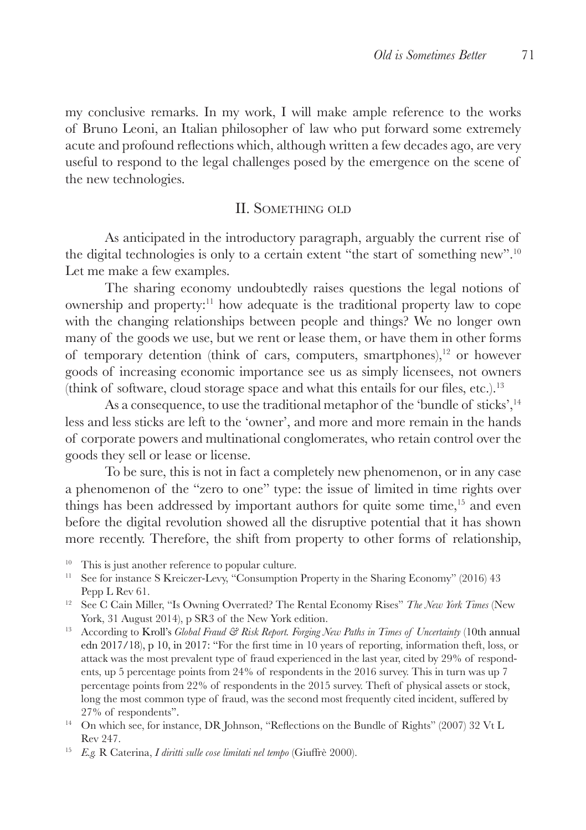my conclusive remarks. In my work, I will make ample reference to the works of Bruno Leoni, an Italian philosopher of law who put forward some extremely acute and profound reflections which, although written a few decades ago, are very useful to respond to the legal challenges posed by the emergence on the scene of the new technologies.

### II. SOMETHING OLD

As anticipated in the introductory paragraph, arguably the current rise of the digital technologies is only to a certain extent "the start of something new".10 Let me make a few examples.

The sharing economy undoubtedly raises questions the legal notions of ownership and property:11 how adequate is the traditional property law to cope with the changing relationships between people and things? We no longer own many of the goods we use, but we rent or lease them, or have them in other forms of temporary detention (think of cars, computers, smartphones),<sup>12</sup> or however goods of increasing economic importance see us as simply licensees, not owners (think of software, cloud storage space and what this entails for our files, etc.).<sup>13</sup>

As a consequence, to use the traditional metaphor of the 'bundle of sticks',<sup>14</sup> less and less sticks are left to the 'owner', and more and more remain in the hands of corporate powers and multinational conglomerates, who retain control over the goods they sell or lease or license.

To be sure, this is not in fact a completely new phenomenon, or in any case a phenomenon of the "zero to one" type: the issue of limited in time rights over things has been addressed by important authors for quite some time,<sup>15</sup> and even before the digital revolution showed all the disruptive potential that it has shown more recently. Therefore, the shift from property to other forms of relationship,

- <sup>10</sup> This is just another reference to popular culture.
- <sup>11</sup> See for instance S Kreiczer-Levy, "Consumption Property in the Sharing Economy" (2016) 43 Pepp L Rev 61.
- <sup>12</sup> See C Cain Miller, "Is Owning Overrated? The Rental Economy Rises" *The New York Times* (New York, 31 August 2014), p SR3 of the New York edition.
- <sup>13</sup> According to Kroll's *Global Fraud & Risk Report. Forging New Paths in Times of Uncertainty* (10th annual edn 2017/18), p 10, in 2017: "For the first time in 10 years of reporting, information theft, loss, or attack was the most prevalent type of fraud experienced in the last year, cited by 29% of respondents, up 5 percentage points from 24% of respondents in the 2016 survey. This in turn was up 7 percentage points from 22% of respondents in the 2015 survey. Theft of physical assets or stock, long the most common type of fraud, was the second most frequently cited incident, suffered by 27% of respondents".
- <sup>14</sup> On which see, for instance, DR Johnson, "Reflections on the Bundle of Rights" (2007) 32 Vt L Rev 247.
- <sup>15</sup> *E.g.* R Caterina, *I diritti sulle cose limitati nel tempo* (Giuffrè 2000).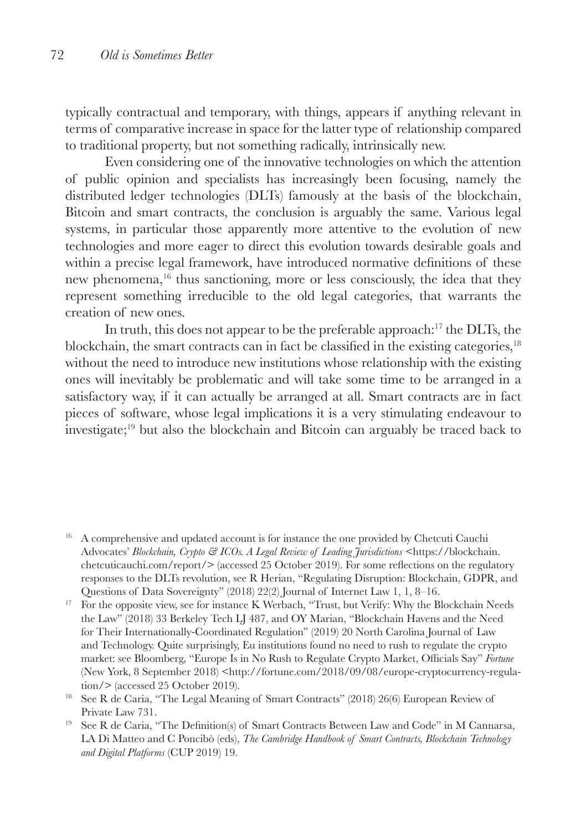typically contractual and temporary, with things, appears if anything relevant in terms of comparative increase in space for the latter type of relationship compared to traditional property, but not something radically, intrinsically new.

Even considering one of the innovative technologies on which the attention of public opinion and specialists has increasingly been focusing, namely the distributed ledger technologies (DLTs) famously at the basis of the blockchain, Bitcoin and smart contracts, the conclusion is arguably the same. Various legal systems, in particular those apparently more attentive to the evolution of new technologies and more eager to direct this evolution towards desirable goals and within a precise legal framework, have introduced normative definitions of these new phenomena,16 thus sanctioning, more or less consciously, the idea that they represent something irreducible to the old legal categories, that warrants the creation of new ones.

In truth, this does not appear to be the preferable approach:<sup>17</sup> the DLTs, the blockchain, the smart contracts can in fact be classified in the existing categories.<sup>18</sup> without the need to introduce new institutions whose relationship with the existing ones will inevitably be problematic and will take some time to be arranged in a satisfactory way, if it can actually be arranged at all. Smart contracts are in fact pieces of software, whose legal implications it is a very stimulating endeavour to investigate;19 but also the blockchain and Bitcoin can arguably be traced back to

<sup>16</sup> A comprehensive and updated account is for instance the one provided by Chetcuti Cauchi Advocates' *Blockchain, Crypto & ICOs. A Legal Review of Leading Jurisdictions* <https://blockchain. chetcuticauchi.com/report/> (accessed 25 October 2019). For some reflections on the regulatory responses to the DLTs revolution, see R Herian, "Regulating Disruption: Blockchain, GDPR, and Questions of Data Sovereignty" (2018) 22(2) Journal of Internet Law 1, 1, 8–16.

<sup>17</sup> For the opposite view, see for instance K Werbach, "Trust, but Verify: Why the Blockchain Needs the Law" (2018) 33 Berkeley Tech LJ 487, and OY Marian, "Blockchain Havens and the Need for Their Internationally-Coordinated Regulation" (2019) 20 North Carolina Journal of Law and Technology. Quite surprisingly, Eu institutions found no need to rush to regulate the crypto market: see Bloomberg, "Europe Is in No Rush to Regulate Crypto Market, Officials Say" *Fortune*  (New York, 8 September 2018) <http://fortune.com/2018/09/08/europe-cryptocurrency-regulation/> (accessed 25 October 2019).

<sup>18</sup> See R de Caria, "The Legal Meaning of Smart Contracts" (2018) 26(6) European Review of Private Law 731.

<sup>&</sup>lt;sup>19</sup> See R de Caria, "The Definition(s) of Smart Contracts Between Law and Code" in M Cannarsa, LA Di Matteo and C Poncibò (eds), *The Cambridge Handbook of Smart Contracts, Blockchain Technology and Digital Platforms* (CUP 2019) 19.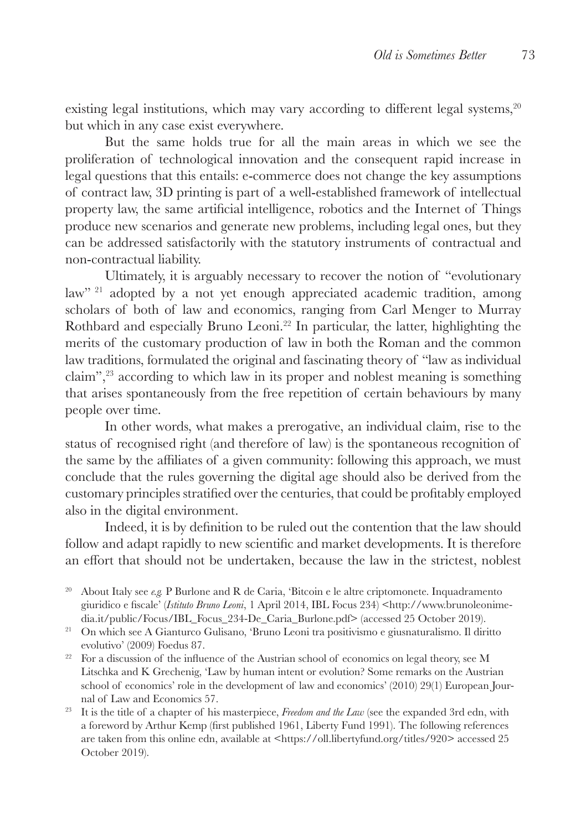existing legal institutions, which may vary according to different legal systems,<sup>20</sup> but which in any case exist everywhere.

But the same holds true for all the main areas in which we see the proliferation of technological innovation and the consequent rapid increase in legal questions that this entails: e-commerce does not change the key assumptions of contract law, 3D printing is part of a well-established framework of intellectual property law, the same artificial intelligence, robotics and the Internet of Things produce new scenarios and generate new problems, including legal ones, but they can be addressed satisfactorily with the statutory instruments of contractual and non-contractual liability.

Ultimately, it is arguably necessary to recover the notion of "evolutionary" law" <sup>21</sup> adopted by a not yet enough appreciated academic tradition, among scholars of both of law and economics, ranging from Carl Menger to Murray Rothbard and especially Bruno Leoni.<sup>22</sup> In particular, the latter, highlighting the merits of the customary production of law in both the Roman and the common law traditions, formulated the original and fascinating theory of "law as individual claim",23 according to which law in its proper and noblest meaning is something that arises spontaneously from the free repetition of certain behaviours by many people over time.

In other words, what makes a prerogative, an individual claim, rise to the status of recognised right (and therefore of law) is the spontaneous recognition of the same by the affiliates of a given community: following this approach, we must conclude that the rules governing the digital age should also be derived from the customary principles stratified over the centuries, that could be profitably employed also in the digital environment.

Indeed, it is by definition to be ruled out the contention that the law should follow and adapt rapidly to new scientific and market developments. It is therefore an effort that should not be undertaken, because the law in the strictest, noblest

- <sup>21</sup> On which see A Gianturco Gulisano, 'Bruno Leoni tra positivismo e giusnaturalismo. Il diritto evolutivo' (2009) Foedus 87.
- $22$  For a discussion of the influence of the Austrian school of economics on legal theory, see M Litschka and K Grechenig, 'Law by human intent or evolution? Some remarks on the Austrian school of economics' role in the development of law and economics' (2010) 29(1) European Journal of Law and Economics 57.
- <sup>23</sup> It is the title of a chapter of his masterpiece, *Freedom and the Law* (see the expanded 3rd edn, with a foreword by Arthur Kemp (first published 1961, Liberty Fund 1991). The following references are taken from this online edn, available at <https://oll.libertyfund.org/titles/920> accessed 25 October 2019).

<sup>20</sup> About Italy see *e.g.* P Burlone and R de Caria, 'Bitcoin e le altre criptomonete. Inquadramento giuridico e fiscale' (*Istituto Bruno Leoni*, 1 April 2014, IBL Focus 234) <http://www.brunoleonimedia.it/public/Focus/IBL\_Focus\_234-De\_Caria\_Burlone.pdf> (accessed 25 October 2019).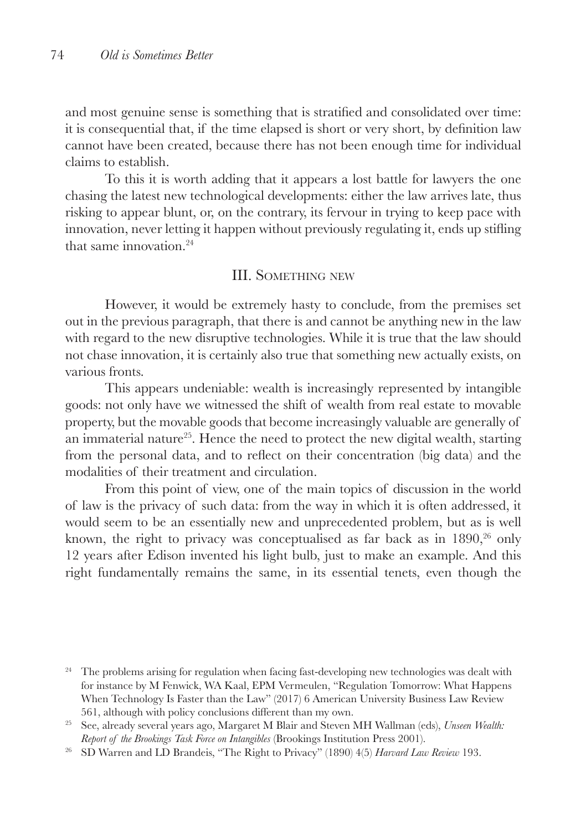and most genuine sense is something that is stratified and consolidated over time: it is consequential that, if the time elapsed is short or very short, by definition law cannot have been created, because there has not been enough time for individual claims to establish.

To this it is worth adding that it appears a lost battle for lawyers the one chasing the latest new technological developments: either the law arrives late, thus risking to appear blunt, or, on the contrary, its fervour in trying to keep pace with innovation, never letting it happen without previously regulating it, ends up stifling that same innovation<sup>24</sup>

## III. Something new

However, it would be extremely hasty to conclude, from the premises set out in the previous paragraph, that there is and cannot be anything new in the law with regard to the new disruptive technologies. While it is true that the law should not chase innovation, it is certainly also true that something new actually exists, on various fronts.

This appears undeniable: wealth is increasingly represented by intangible goods: not only have we witnessed the shift of wealth from real estate to movable property, but the movable goods that become increasingly valuable are generally of an immaterial nature<sup>25</sup>. Hence the need to protect the new digital wealth, starting from the personal data, and to reflect on their concentration (big data) and the modalities of their treatment and circulation.

From this point of view, one of the main topics of discussion in the world of law is the privacy of such data: from the way in which it is often addressed, it would seem to be an essentially new and unprecedented problem, but as is well known, the right to privacy was conceptualised as far back as in  $1890$ ,<sup>26</sup> only 12 years after Edison invented his light bulb, just to make an example. And this right fundamentally remains the same, in its essential tenets, even though the

 $24$  The problems arising for regulation when facing fast-developing new technologies was dealt with for instance by M Fenwick, WA Kaal, EPM Vermeulen, "Regulation Tomorrow: What Happens When Technology Is Faster than the Law" (2017) 6 American University Business Law Review 561, although with policy conclusions different than my own.

<sup>25</sup> See, already several years ago, Margaret M Blair and Steven MH Wallman (eds), *Unseen Wealth: Report of the Brookings Task Force on Intangibles* (Brookings Institution Press 2001).

<sup>26</sup> SD Warren and LD Brandeis, "The Right to Privacy" (1890) 4(5) *Harvard Law Review* 193.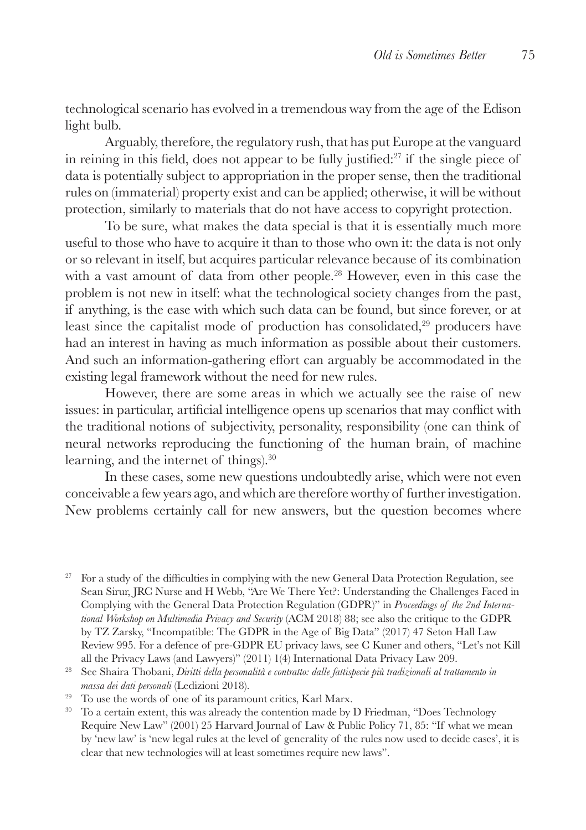technological scenario has evolved in a tremendous way from the age of the Edison light bulb.

Arguably, therefore, the regulatory rush, that has put Europe at the vanguard in reining in this field, does not appear to be fully justified:27 if the single piece of data is potentially subject to appropriation in the proper sense, then the traditional rules on (immaterial) property exist and can be applied; otherwise, it will be without protection, similarly to materials that do not have access to copyright protection.

To be sure, what makes the data special is that it is essentially much more useful to those who have to acquire it than to those who own it: the data is not only or so relevant in itself, but acquires particular relevance because of its combination with a vast amount of data from other people.<sup>28</sup> However, even in this case the problem is not new in itself: what the technological society changes from the past, if anything, is the ease with which such data can be found, but since forever, or at least since the capitalist mode of production has consolidated,<sup>29</sup> producers have had an interest in having as much information as possible about their customers. And such an information-gathering effort can arguably be accommodated in the existing legal framework without the need for new rules.

However, there are some areas in which we actually see the raise of new issues: in particular, artificial intelligence opens up scenarios that may conflict with the traditional notions of subjectivity, personality, responsibility (one can think of neural networks reproducing the functioning of the human brain, of machine learning, and the internet of things).<sup>30</sup>

In these cases, some new questions undoubtedly arise, which were not even conceivable a few years ago, and which are therefore worthy of further investigation. New problems certainly call for new answers, but the question becomes where

 $29$  To use the words of one of its paramount critics, Karl Marx.

<sup>27</sup> For a study of the difficulties in complying with the new General Data Protection Regulation, see Sean Sirur, JRC Nurse and H Webb, "Are We There Yet?: Understanding the Challenges Faced in Complying with the General Data Protection Regulation (GDPR)" in *Proceedings of the 2nd International Workshop on Multimedia Privacy and Security* (ACM 2018) 88; see also the critique to the GDPR by TZ Zarsky, "Incompatible: The GDPR in the Age of Big Data" (2017) 47 Seton Hall Law Review 995. For a defence of pre-GDPR EU privacy laws, see C Kuner and others, "Let's not Kill all the Privacy Laws (and Lawyers)" (2011) 1(4) International Data Privacy Law 209.

<sup>28</sup> See Shaira Thobani, *Diritti della personalità e contratto: dalle fattispecie più tradizionali al trattamento in massa dei dati personali* (Ledizioni 2018).

<sup>&</sup>lt;sup>30</sup> To a certain extent, this was already the contention made by D Friedman, "Does Technology Require New Law" (2001) 25 Harvard Journal of Law & Public Policy 71, 85: "If what we mean by 'new law' is 'new legal rules at the level of generality of the rules now used to decide cases', it is clear that new technologies will at least sometimes require new laws".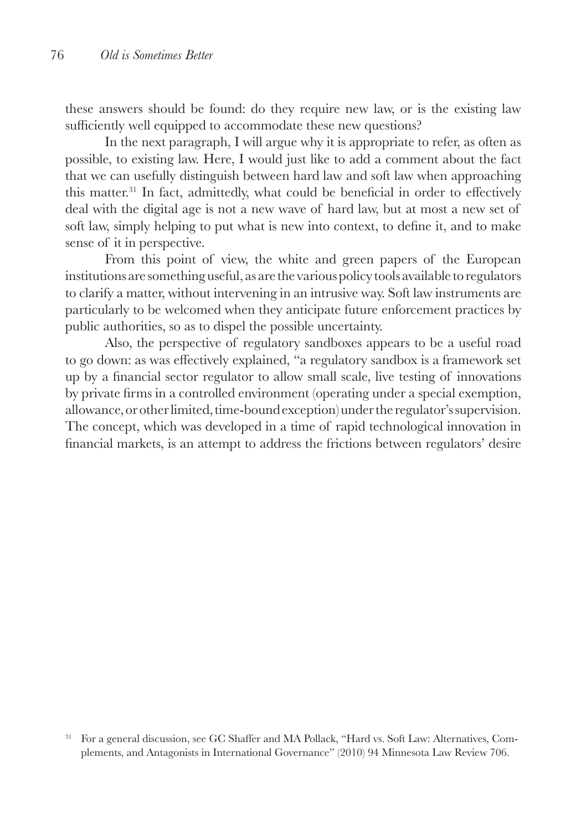these answers should be found: do they require new law, or is the existing law sufficiently well equipped to accommodate these new questions?

In the next paragraph, I will argue why it is appropriate to refer, as often as possible, to existing law. Here, I would just like to add a comment about the fact that we can usefully distinguish between hard law and soft law when approaching this matter.31 In fact, admittedly, what could be beneficial in order to effectively deal with the digital age is not a new wave of hard law, but at most a new set of soft law, simply helping to put what is new into context, to define it, and to make sense of it in perspective.

From this point of view, the white and green papers of the European institutions are something useful, as are the various policy tools available to regulators to clarify a matter, without intervening in an intrusive way. Soft law instruments are particularly to be welcomed when they anticipate future enforcement practices by public authorities, so as to dispel the possible uncertainty.

Also, the perspective of regulatory sandboxes appears to be a useful road to go down: as was effectively explained, "a regulatory sandbox is a framework set up by a financial sector regulator to allow small scale, live testing of innovations by private firms in a controlled environment (operating under a special exemption, allowance, or other limited, time-bound exception) under the regulator's supervision. The concept, which was developed in a time of rapid technological innovation in financial markets, is an attempt to address the frictions between regulators' desire

<sup>31</sup> For a general discussion, see GC Shaffer and MA Pollack, "Hard vs. Soft Law: Alternatives, Complements, and Antagonists in International Governance" (2010) 94 Minnesota Law Review 706.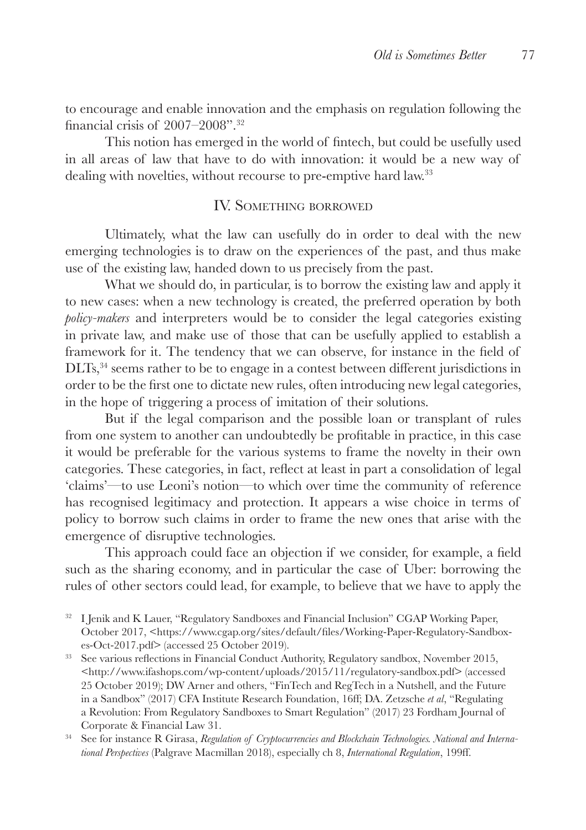to encourage and enable innovation and the emphasis on regulation following the financial crisis of 2007–2008".<sup>32</sup>

This notion has emerged in the world of fintech, but could be usefully used in all areas of law that have to do with innovation: it would be a new way of dealing with novelties, without recourse to pre-emptive hard law.<sup>33</sup>

# IV. SOMETHING BORROWED

Ultimately, what the law can usefully do in order to deal with the new emerging technologies is to draw on the experiences of the past, and thus make use of the existing law, handed down to us precisely from the past.

What we should do, in particular, is to borrow the existing law and apply it to new cases: when a new technology is created, the preferred operation by both *policy-makers* and interpreters would be to consider the legal categories existing in private law, and make use of those that can be usefully applied to establish a framework for it. The tendency that we can observe, for instance in the field of DLTs,<sup>34</sup> seems rather to be to engage in a contest between different jurisdictions in order to be the first one to dictate new rules, often introducing new legal categories, in the hope of triggering a process of imitation of their solutions.

But if the legal comparison and the possible loan or transplant of rules from one system to another can undoubtedly be profitable in practice, in this case it would be preferable for the various systems to frame the novelty in their own categories. These categories, in fact, reflect at least in part a consolidation of legal 'claims'—to use Leoni's notion—to which over time the community of reference has recognised legitimacy and protection. It appears a wise choice in terms of policy to borrow such claims in order to frame the new ones that arise with the emergence of disruptive technologies.

This approach could face an objection if we consider, for example, a field such as the sharing economy, and in particular the case of Uber: borrowing the rules of other sectors could lead, for example, to believe that we have to apply the

<sup>32</sup> I Jenik and K Lauer, "Regulatory Sandboxes and Financial Inclusion" CGAP Working Paper, October 2017, <https://www.cgap.org/sites/default/files/Working-Paper-Regulatory-Sandboxes-Oct-2017.pdf> (accessed 25 October 2019).

<sup>&</sup>lt;sup>33</sup> See various reflections in Financial Conduct Authority, Regulatory sandbox, November 2015,  $\text{thtn:}/\text{/www.ifashobs.com/wp-content/uploads}/2015/11/\text{regularory-sandbox.pdf}$  (accessed 25 October 2019); DW Arner and others, "FinTech and RegTech in a Nutshell, and the Future in a Sandbox" (2017) CFA Institute Research Foundation, 16ff; DA. Zetzsche *et al*, "Regulating a Revolution: From Regulatory Sandboxes to Smart Regulation" (2017) 23 Fordham Journal of Corporate & Financial Law 31.

<sup>34</sup> See for instance R Girasa, *Regulation of Cryptocurrencies and Blockchain Technologies. National and International Perspectives* (Palgrave Macmillan 2018), especially ch 8, *International Regulation*, 199ff.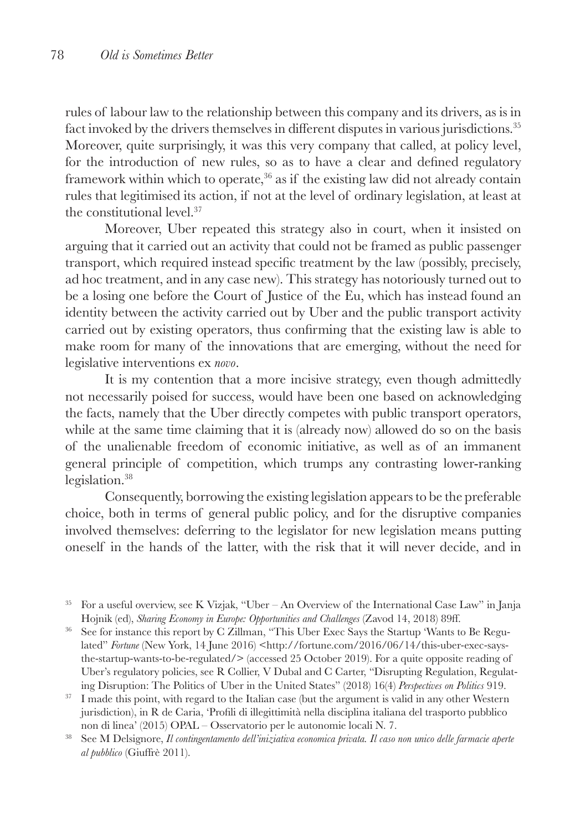rules of labour law to the relationship between this company and its drivers, as is in fact invoked by the drivers themselves in different disputes in various jurisdictions.<sup>35</sup> Moreover, quite surprisingly, it was this very company that called, at policy level, for the introduction of new rules, so as to have a clear and defined regulatory framework within which to operate,<sup>36</sup> as if the existing law did not already contain rules that legitimised its action, if not at the level of ordinary legislation, at least at the constitutional level.37

Moreover, Uber repeated this strategy also in court, when it insisted on arguing that it carried out an activity that could not be framed as public passenger transport, which required instead specific treatment by the law (possibly, precisely, ad hoc treatment, and in any case new). This strategy has notoriously turned out to be a losing one before the Court of Justice of the Eu, which has instead found an identity between the activity carried out by Uber and the public transport activity carried out by existing operators, thus confirming that the existing law is able to make room for many of the innovations that are emerging, without the need for legislative interventions ex *novo*.

It is my contention that a more incisive strategy, even though admittedly not necessarily poised for success, would have been one based on acknowledging the facts, namely that the Uber directly competes with public transport operators, while at the same time claiming that it is (already now) allowed do so on the basis of the unalienable freedom of economic initiative, as well as of an immanent general principle of competition, which trumps any contrasting lower-ranking legislation.<sup>38</sup>

Consequently, borrowing the existing legislation appears to be the preferable choice, both in terms of general public policy, and for the disruptive companies involved themselves: deferring to the legislator for new legislation means putting oneself in the hands of the latter, with the risk that it will never decide, and in

<sup>35</sup> For a useful overview, see K Vizjak, "Uber – An Overview of the International Case Law" in Janja Hojnik (ed), *Sharing Economy in Europe: Opportunities and Challenges* (Zavod 14, 2018) 89ff.

<sup>36</sup> See for instance this report by C Zillman, "This Uber Exec Says the Startup 'Wants to Be Regulated" *Fortune* (New York, 14 June 2016) <http://fortune.com/2016/06/14/this-uber-exec-saysthe-startup-wants-to-be-regulated/> (accessed 25 October 2019). For a quite opposite reading of Uber's regulatory policies, see R Collier, V Dubal and C Carter, "Disrupting Regulation, Regulating Disruption: The Politics of Uber in the United States" (2018) 16(4) *Perspectives on Politics* 919.

<sup>&</sup>lt;sup>37</sup> I made this point, with regard to the Italian case (but the argument is valid in any other Western jurisdiction), in R de Caria, 'Profili di illegittimità nella disciplina italiana del trasporto pubblico non di linea' (2015) OPAL – Osservatorio per le autonomie locali N. 7.

<sup>38</sup> See M Delsignore, *Il contingentamento dell'iniziativa economica privata. Il caso non unico delle farmacie aperte al pubblico* (Giuffrè 2011).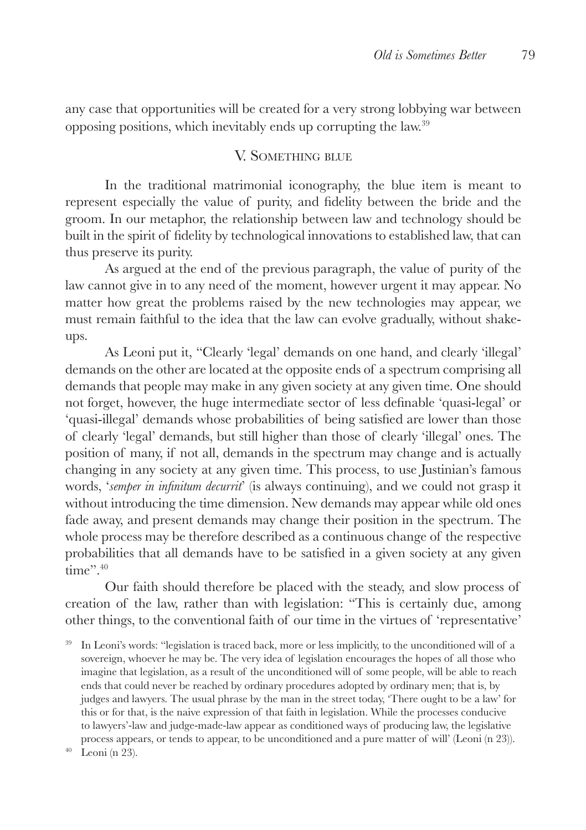any case that opportunities will be created for a very strong lobbying war between opposing positions, which inevitably ends up corrupting the law.39

### V. SOMETHING BLUE

In the traditional matrimonial iconography, the blue item is meant to represent especially the value of purity, and fidelity between the bride and the groom. In our metaphor, the relationship between law and technology should be built in the spirit of fidelity by technological innovations to established law, that can thus preserve its purity.

As argued at the end of the previous paragraph, the value of purity of the law cannot give in to any need of the moment, however urgent it may appear. No matter how great the problems raised by the new technologies may appear, we must remain faithful to the idea that the law can evolve gradually, without shakeups.

As Leoni put it, "Clearly 'legal' demands on one hand, and clearly 'illegal' demands on the other are located at the opposite ends of a spectrum comprising all demands that people may make in any given society at any given time. One should not forget, however, the huge intermediate sector of less definable 'quasi-legal' or 'quasi-illegal' demands whose probabilities of being satisfied are lower than those of clearly 'legal' demands, but still higher than those of clearly 'illegal' ones. The position of many, if not all, demands in the spectrum may change and is actually changing in any society at any given time. This process, to use Justinian's famous words, '*semper in infinitum decurrit*' (is always continuing), and we could not grasp it without introducing the time dimension. New demands may appear while old ones fade away, and present demands may change their position in the spectrum. The whole process may be therefore described as a continuous change of the respective probabilities that all demands have to be satisfied in a given society at any given time".<sup>40</sup>

Our faith should therefore be placed with the steady, and slow process of creation of the law, rather than with legislation: "This is certainly due, among other things, to the conventional faith of our time in the virtues of 'representative'

In Leoni's words: "legislation is traced back, more or less implicitly, to the unconditioned will of a sovereign, whoever he may be. The very idea of legislation encourages the hopes of all those who imagine that legislation, as a result of the unconditioned will of some people, will be able to reach ends that could never be reached by ordinary procedures adopted by ordinary men; that is, by judges and lawyers. The usual phrase by the man in the street today, 'There ought to be a law' for this or for that, is the naive expression of that faith in legislation. While the processes conducive to lawyers'-law and judge-made-law appear as conditioned ways of producing law, the legislative process appears, or tends to appear, to be unconditioned and a pure matter of will' (Leoni (n 23)).

 $40$  Leoni (n 23).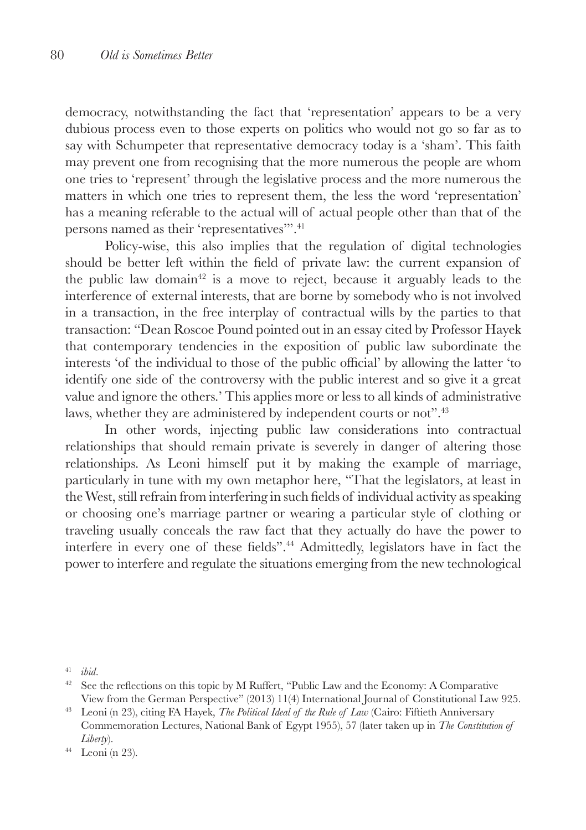democracy, notwithstanding the fact that 'representation' appears to be a very dubious process even to those experts on politics who would not go so far as to say with Schumpeter that representative democracy today is a 'sham'. This faith may prevent one from recognising that the more numerous the people are whom one tries to 'represent' through the legislative process and the more numerous the matters in which one tries to represent them, the less the word 'representation' has a meaning referable to the actual will of actual people other than that of the persons named as their 'representatives'".<sup>41</sup>

Policy-wise, this also implies that the regulation of digital technologies should be better left within the field of private law: the current expansion of the public law domain<sup> $42$ </sup> is a move to reject, because it arguably leads to the interference of external interests, that are borne by somebody who is not involved in a transaction, in the free interplay of contractual wills by the parties to that transaction: "Dean Roscoe Pound pointed out in an essay cited by Professor Hayek that contemporary tendencies in the exposition of public law subordinate the interests 'of the individual to those of the public official' by allowing the latter 'to identify one side of the controversy with the public interest and so give it a great value and ignore the others.' This applies more or less to all kinds of administrative laws, whether they are administered by independent courts or not".<sup>43</sup>

In other words, injecting public law considerations into contractual relationships that should remain private is severely in danger of altering those relationships. As Leoni himself put it by making the example of marriage, particularly in tune with my own metaphor here, "That the legislators, at least in the West, still refrain from interfering in such fields of individual activity as speaking or choosing one's marriage partner or wearing a particular style of clothing or traveling usually conceals the raw fact that they actually do have the power to interfere in every one of these fields".44 Admittedly, legislators have in fact the power to interfere and regulate the situations emerging from the new technological

<sup>41</sup> *ibid*.

<sup>44</sup> Leoni (n 23).

 $42$  See the reflections on this topic by M Ruffert, "Public Law and the Economy: A Comparative View from the German Perspective" (2013) 11(4) International Journal of Constitutional Law 925.

<sup>43</sup> Leoni (n 23), citing FA Hayek, *The Political Ideal of the Rule of Law* (Cairo: Fiftieth Anniversary Commemoration Lectures, National Bank of Egypt 1955), 57 (later taken up in *The Constitution of Liberty*).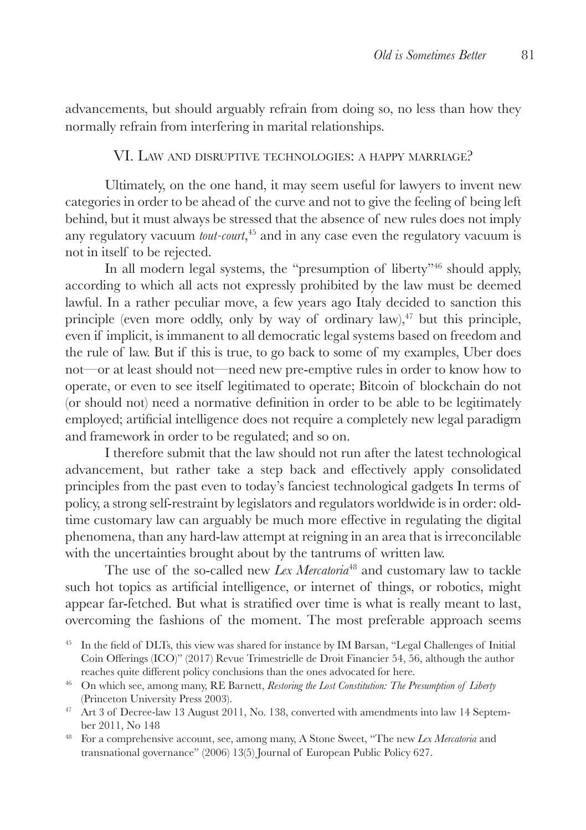advancements, but should arguably refrain from doing so, no less than how they normally refrain from interfering in marital relationships.

#### VI. Law and disruptive technologies: a happy marriage?

Ultimately, on the one hand, it may seem useful for lawyers to invent new categories in order to be ahead of the curve and not to give the feeling of being left behind, but it must always be stressed that the absence of new rules does not imply any regulatory vacuum *tout-court*, 45 and in any case even the regulatory vacuum is not in itself to be rejected.

In all modern legal systems, the "presumption of liberty"<sup>46</sup> should apply, according to which all acts not expressly prohibited by the law must be deemed lawful. In a rather peculiar move, a few years ago Italy decided to sanction this principle (even more oddly, only by way of ordinary law), $47$  but this principle, even if implicit, is immanent to all democratic legal systems based on freedom and the rule of law. But if this is true, to go back to some of my examples, Uber does not—or at least should not—need new pre-emptive rules in order to know how to operate, or even to see itself legitimated to operate; Bitcoin of blockchain do not (or should not) need a normative definition in order to be able to be legitimately employed; artificial intelligence does not require a completely new legal paradigm and framework in order to be regulated; and so on.

I therefore submit that the law should not run after the latest technological advancement, but rather take a step back and effectively apply consolidated principles from the past even to today's fanciest technological gadgets In terms of policy, a strong self-restraint by legislators and regulators worldwide is in order: oldtime customary law can arguably be much more effective in regulating the digital phenomena, than any hard-law attempt at reigning in an area that is irreconcilable with the uncertainties brought about by the tantrums of written law.

The use of the so-called new *Lex Mercatoria*48 and customary law to tackle such hot topics as artificial intelligence, or internet of things, or robotics, might appear far-fetched. But what is stratified over time is what is really meant to last, overcoming the fashions of the moment. The most preferable approach seems

<sup>45</sup> In the field of DLTs, this view was shared for instance by IM Barsan, "Legal Challenges of Initial Coin Offerings (ICO)" (2017) Revue Trimestrielle de Droit Financier 54, 56, although the author reaches quite different policy conclusions than the ones advocated for here.

<sup>46</sup> On which see, among many, RE Barnett, *Restoring the Lost Constitution: The Presumption of Liberty* (Princeton University Press 2003).

<sup>47</sup> Art 3 of Decree-law 13 August 2011, No. 138, converted with amendments into law 14 September 2011, No 148

<sup>48</sup> For a comprehensive account, see, among many, A Stone Sweet, "The new *Lex Mercatoria* and transnational governance" (2006) 13(5) Journal of European Public Policy 627.